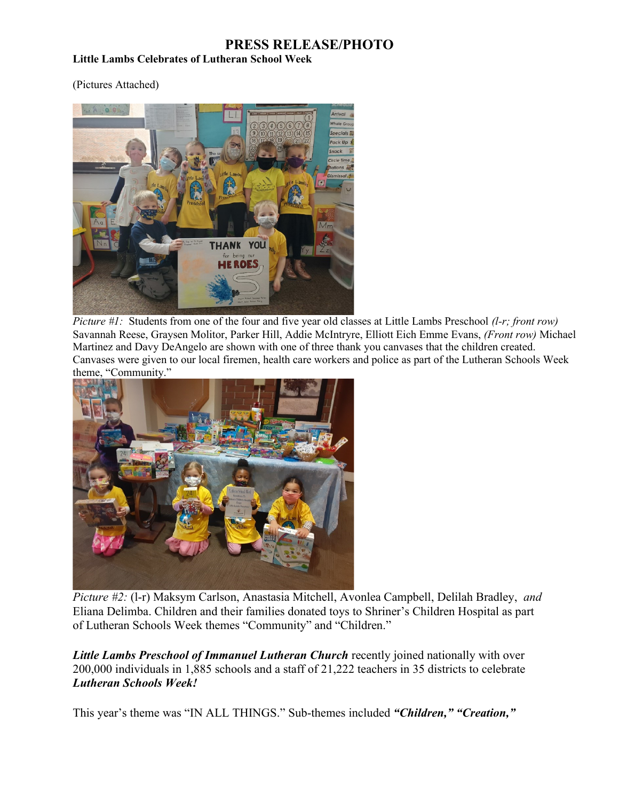## **PRESS RELEASE/PHOTO**

## **Little Lambs Celebrates of Lutheran School Week**

(Pictures Attached)



*Picture #1:* Students from one of the four and five year old classes at Little Lambs Preschool *(l-r; front row)*  Savannah Reese, Graysen Molitor, Parker Hill, Addie McIntryre, Elliott Eich Emme Evans, *(Front row)* Michael Martinez and Davy DeAngelo are shown with one of three thank you canvases that the children created. Canvases were given to our local firemen, health care workers and police as part of the Lutheran Schools Week theme, "Community."



*Picture #2:* (l-r) Maksym Carlson, Anastasia Mitchell, Avonlea Campbell, Delilah Bradley, *and*  Eliana Delimba. Children and their families donated toys to Shriner's Children Hospital as part of Lutheran Schools Week themes "Community" and "Children."

*Little Lambs Preschool of Immanuel Lutheran Church* recently joined nationally with over 200,000 individuals in 1,885 schools and a staff of 21,222 teachers in 35 districts to celebrate *Lutheran Schools Week!*

This year's theme was "IN ALL THINGS." Sub-themes included *"Children," "Creation,"*